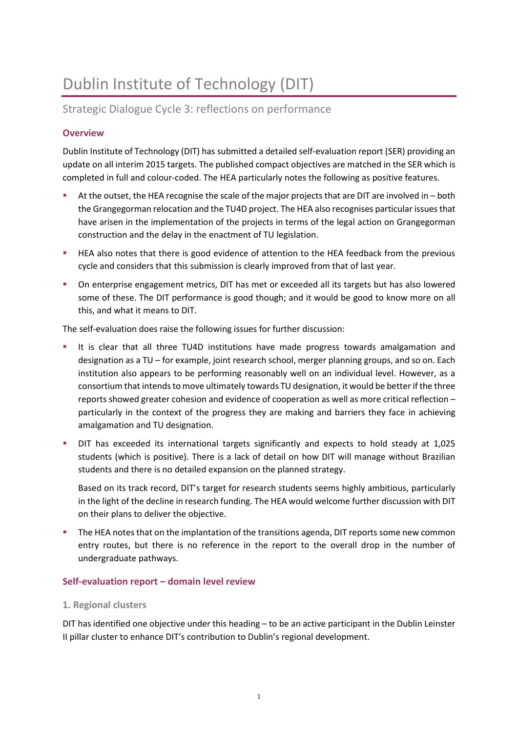# Dublin Institute of Technology (DIT)

# Strategic Dialogue Cycle 3: reflections on performance

# **Overview**

Dublin Institute of Technology (DIT) has submitted a detailed self-evaluation report (SER) providing an update on all interim 2015 targets. The published compact objectives are matched in the SER which is completed in full and colour-coded. The HEA particularly notes the following as positive features.

- At the outset, the HEA recognise the scale of the major projects that are DIT are involved in both the Grangegorman relocation and the TU4D project. The HEA also recognises particular issues that have arisen in the implementation of the projects in terms of the legal action on Grangegorman construction and the delay in the enactment of TU legislation.
- **EXECT ALSO FEA also notes that there is good evidence of attention to the HEA feedback from the previous** cycle and considers that this submission is clearly improved from that of last year.
- On enterprise engagement metrics, DIT has met or exceeded all its targets but has also lowered some of these. The DIT performance is good though; and it would be good to know more on all this, and what it means to DIT.

The self-evaluation does raise the following issues for further discussion:

- It is clear that all three TU4D institutions have made progress towards amalgamation and designation as a TU – for example, joint research school, merger planning groups, and so on. Each institution also appears to be performing reasonably well on an individual level. However, as a consortium that intends to move ultimately towards TU designation, it would be better if the three reports showed greater cohesion and evidence of cooperation as well as more critical reflection – particularly in the context of the progress they are making and barriers they face in achieving amalgamation and TU designation.
- DIT has exceeded its international targets significantly and expects to hold steady at 1,025 students (which is positive). There is a lack of detail on how DIT will manage without Brazilian students and there is no detailed expansion on the planned strategy.

Based on its track record, DIT's target for research students seems highly ambitious, particularly in the light of the decline in research funding. The HEA would welcome further discussion with DIT on their plans to deliver the objective.

The HEA notes that on the implantation of the transitions agenda, DIT reports some new common entry routes, but there is no reference in the report to the overall drop in the number of undergraduate pathways.

# **Self-evaluation report – domain level review**

# **1. Regional clusters**

DIT has identified one objective under this heading – to be an active participant in the Dublin Leinster II pillar cluster to enhance DIT's contribution to Dublin's regional development.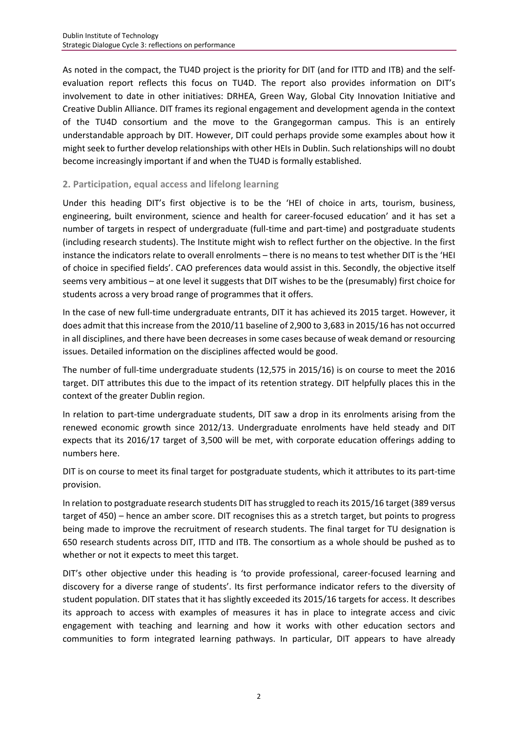As noted in the compact, the TU4D project is the priority for DIT (and for ITTD and ITB) and the selfevaluation report reflects this focus on TU4D. The report also provides information on DIT's involvement to date in other initiatives: DRHEA, Green Way, Global City Innovation Initiative and Creative Dublin Alliance. DIT frames its regional engagement and development agenda in the context of the TU4D consortium and the move to the Grangegorman campus. This is an entirely understandable approach by DIT. However, DIT could perhaps provide some examples about how it might seek to further develop relationships with other HEIs in Dublin. Such relationships will no doubt become increasingly important if and when the TU4D is formally established.

# **2. Participation, equal access and lifelong learning**

Under this heading DIT's first objective is to be the 'HEI of choice in arts, tourism, business, engineering, built environment, science and health for career-focused education' and it has set a number of targets in respect of undergraduate (full-time and part-time) and postgraduate students (including research students). The Institute might wish to reflect further on the objective. In the first instance the indicators relate to overall enrolments – there is no means to test whether DIT is the 'HEI of choice in specified fields'. CAO preferences data would assist in this. Secondly, the objective itself seems very ambitious – at one level it suggests that DIT wishes to be the (presumably) first choice for students across a very broad range of programmes that it offers.

In the case of new full-time undergraduate entrants, DIT it has achieved its 2015 target. However, it does admit that this increase from the 2010/11 baseline of 2,900 to 3,683 in 2015/16 has not occurred in all disciplines, and there have been decreases in some cases because of weak demand or resourcing issues. Detailed information on the disciplines affected would be good.

The number of full-time undergraduate students (12,575 in 2015/16) is on course to meet the 2016 target. DIT attributes this due to the impact of its retention strategy. DIT helpfully places this in the context of the greater Dublin region.

In relation to part-time undergraduate students, DIT saw a drop in its enrolments arising from the renewed economic growth since 2012/13. Undergraduate enrolments have held steady and DIT expects that its 2016/17 target of 3,500 will be met, with corporate education offerings adding to numbers here.

DIT is on course to meet its final target for postgraduate students, which it attributes to its part-time provision.

In relation to postgraduate research students DIT has struggled to reach its 2015/16 target (389 versus target of 450) – hence an amber score. DIT recognises this as a stretch target, but points to progress being made to improve the recruitment of research students. The final target for TU designation is 650 research students across DIT, ITTD and ITB. The consortium as a whole should be pushed as to whether or not it expects to meet this target.

DIT's other objective under this heading is 'to provide professional, career-focused learning and discovery for a diverse range of students'. Its first performance indicator refers to the diversity of student population. DIT states that it has slightly exceeded its 2015/16 targets for access. It describes its approach to access with examples of measures it has in place to integrate access and civic engagement with teaching and learning and how it works with other education sectors and communities to form integrated learning pathways. In particular, DIT appears to have already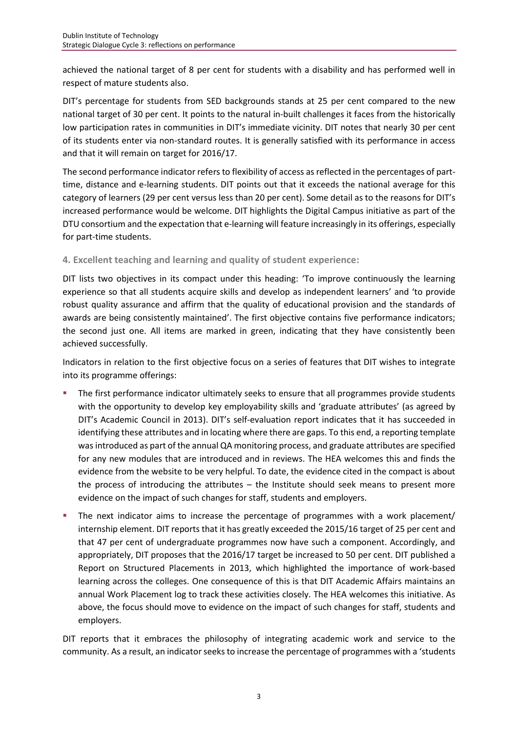achieved the national target of 8 per cent for students with a disability and has performed well in respect of mature students also.

DIT's percentage for students from SED backgrounds stands at 25 per cent compared to the new national target of 30 per cent. It points to the natural in-built challenges it faces from the historically low participation rates in communities in DIT's immediate vicinity. DIT notes that nearly 30 per cent of its students enter via non-standard routes. It is generally satisfied with its performance in access and that it will remain on target for 2016/17.

The second performance indicator refers to flexibility of access as reflected in the percentages of parttime, distance and e-learning students. DIT points out that it exceeds the national average for this category of learners (29 per cent versus less than 20 per cent). Some detail as to the reasons for DIT's increased performance would be welcome. DIT highlights the Digital Campus initiative as part of the DTU consortium and the expectation that e-learning will feature increasingly in its offerings, especially for part-time students.

# **4. Excellent teaching and learning and quality of student experience:**

DIT lists two objectives in its compact under this heading: 'To improve continuously the learning experience so that all students acquire skills and develop as independent learners' and 'to provide robust quality assurance and affirm that the quality of educational provision and the standards of awards are being consistently maintained'. The first objective contains five performance indicators; the second just one. All items are marked in green, indicating that they have consistently been achieved successfully.

Indicators in relation to the first objective focus on a series of features that DIT wishes to integrate into its programme offerings:

- The first performance indicator ultimately seeks to ensure that all programmes provide students with the opportunity to develop key employability skills and 'graduate attributes' (as agreed by DIT's Academic Council in 2013). DIT's self-evaluation report indicates that it has succeeded in identifying these attributes and in locating where there are gaps. To this end, a reporting template was introduced as part of the annual QA monitoring process, and graduate attributes are specified for any new modules that are introduced and in reviews. The HEA welcomes this and finds the evidence from the website to be very helpful. To date, the evidence cited in the compact is about the process of introducing the attributes – the Institute should seek means to present more evidence on the impact of such changes for staff, students and employers.
- The next indicator aims to increase the percentage of programmes with a work placement/ internship element. DIT reports that it has greatly exceeded the 2015/16 target of 25 per cent and that 47 per cent of undergraduate programmes now have such a component. Accordingly, and appropriately, DIT proposes that the 2016/17 target be increased to 50 per cent. DIT published a Report on Structured Placements in 2013, which highlighted the importance of work-based learning across the colleges. One consequence of this is that DIT Academic Affairs maintains an annual Work Placement log to track these activities closely. The HEA welcomes this initiative. As above, the focus should move to evidence on the impact of such changes for staff, students and employers.

DIT reports that it embraces the philosophy of integrating academic work and service to the community. As a result, an indicator seeks to increase the percentage of programmes with a 'students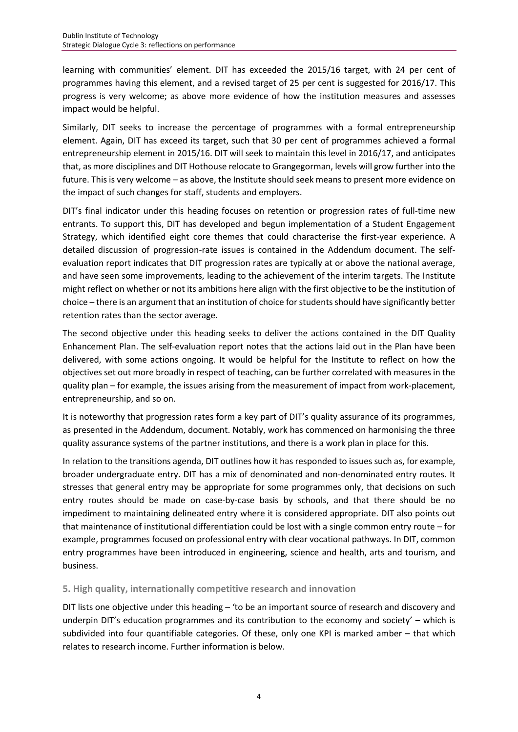learning with communities' element. DIT has exceeded the 2015/16 target, with 24 per cent of programmes having this element, and a revised target of 25 per cent is suggested for 2016/17. This progress is very welcome; as above more evidence of how the institution measures and assesses impact would be helpful.

Similarly, DIT seeks to increase the percentage of programmes with a formal entrepreneurship element. Again, DIT has exceed its target, such that 30 per cent of programmes achieved a formal entrepreneurship element in 2015/16. DIT will seek to maintain this level in 2016/17, and anticipates that, as more disciplines and DIT Hothouse relocate to Grangegorman, levels will grow further into the future. This is very welcome – as above, the Institute should seek means to present more evidence on the impact of such changes for staff, students and employers.

DIT's final indicator under this heading focuses on retention or progression rates of full-time new entrants. To support this, DIT has developed and begun implementation of a Student Engagement Strategy, which identified eight core themes that could characterise the first-year experience. A detailed discussion of progression-rate issues is contained in the Addendum document. The selfevaluation report indicates that DIT progression rates are typically at or above the national average, and have seen some improvements, leading to the achievement of the interim targets. The Institute might reflect on whether or not its ambitions here align with the first objective to be the institution of choice – there is an argument that an institution of choice for students should have significantly better retention rates than the sector average.

The second objective under this heading seeks to deliver the actions contained in the DIT Quality Enhancement Plan. The self-evaluation report notes that the actions laid out in the Plan have been delivered, with some actions ongoing. It would be helpful for the Institute to reflect on how the objectives set out more broadly in respect of teaching, can be further correlated with measures in the quality plan – for example, the issues arising from the measurement of impact from work-placement, entrepreneurship, and so on.

It is noteworthy that progression rates form a key part of DIT's quality assurance of its programmes, as presented in the Addendum, document. Notably, work has commenced on harmonising the three quality assurance systems of the partner institutions, and there is a work plan in place for this.

In relation to the transitions agenda, DIT outlines how it has responded to issues such as, for example, broader undergraduate entry. DIT has a mix of denominated and non-denominated entry routes. It stresses that general entry may be appropriate for some programmes only, that decisions on such entry routes should be made on case-by-case basis by schools, and that there should be no impediment to maintaining delineated entry where it is considered appropriate. DIT also points out that maintenance of institutional differentiation could be lost with a single common entry route – for example, programmes focused on professional entry with clear vocational pathways. In DIT, common entry programmes have been introduced in engineering, science and health, arts and tourism, and business.

#### **5. High quality, internationally competitive research and innovation**

DIT lists one objective under this heading – 'to be an important source of research and discovery and underpin DIT's education programmes and its contribution to the economy and society' – which is subdivided into four quantifiable categories. Of these, only one KPI is marked amber – that which relates to research income. Further information is below.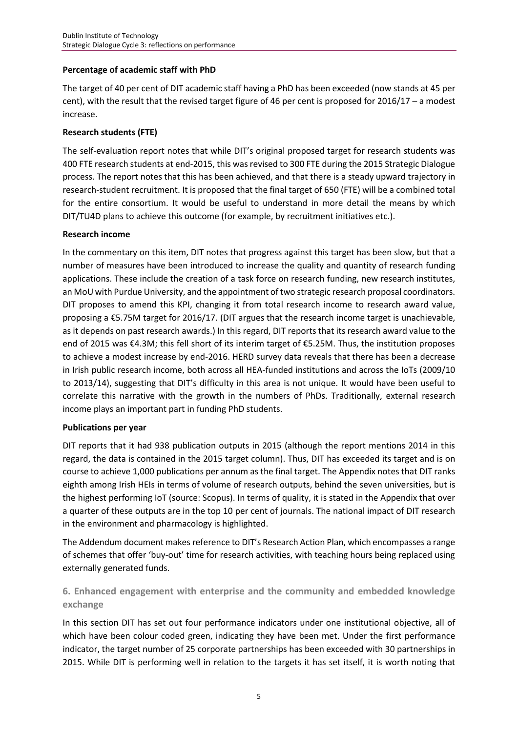#### **Percentage of academic staff with PhD**

The target of 40 per cent of DIT academic staff having a PhD has been exceeded (now stands at 45 per cent), with the result that the revised target figure of 46 per cent is proposed for 2016/17 – a modest increase.

#### **Research students (FTE)**

The self-evaluation report notes that while DIT's original proposed target for research students was 400 FTE research students at end-2015, this was revised to 300 FTE during the 2015 Strategic Dialogue process. The report notes that this has been achieved, and that there is a steady upward trajectory in research-student recruitment. It is proposed that the final target of 650 (FTE) will be a combined total for the entire consortium. It would be useful to understand in more detail the means by which DIT/TU4D plans to achieve this outcome (for example, by recruitment initiatives etc.).

#### **Research income**

In the commentary on this item, DIT notes that progress against this target has been slow, but that a number of measures have been introduced to increase the quality and quantity of research funding applications. These include the creation of a task force on research funding, new research institutes, an MoU with Purdue University, and the appointment of two strategic research proposal coordinators. DIT proposes to amend this KPI, changing it from total research income to research award value, proposing a €5.75M target for 2016/17. (DIT argues that the research income target is unachievable, as it depends on past research awards.) In this regard, DIT reports that its research award value to the end of 2015 was €4.3M; this fell short of its interim target of €5.25M. Thus, the institution proposes to achieve a modest increase by end-2016. HERD survey data reveals that there has been a decrease in Irish public research income, both across all HEA-funded institutions and across the IoTs (2009/10 to 2013/14), suggesting that DIT's difficulty in this area is not unique. It would have been useful to correlate this narrative with the growth in the numbers of PhDs. Traditionally, external research income plays an important part in funding PhD students.

#### **Publications per year**

DIT reports that it had 938 publication outputs in 2015 (although the report mentions 2014 in this regard, the data is contained in the 2015 target column). Thus, DIT has exceeded its target and is on course to achieve 1,000 publications per annum as the final target. The Appendix notes that DIT ranks eighth among Irish HEIs in terms of volume of research outputs, behind the seven universities, but is the highest performing IoT (source: Scopus). In terms of quality, it is stated in the Appendix that over a quarter of these outputs are in the top 10 per cent of journals. The national impact of DIT research in the environment and pharmacology is highlighted.

The Addendum document makes reference to DIT's Research Action Plan, which encompasses a range of schemes that offer 'buy-out' time for research activities, with teaching hours being replaced using externally generated funds.

# **6. Enhanced engagement with enterprise and the community and embedded knowledge exchange**

In this section DIT has set out four performance indicators under one institutional objective, all of which have been colour coded green, indicating they have been met. Under the first performance indicator, the target number of 25 corporate partnerships has been exceeded with 30 partnerships in 2015. While DIT is performing well in relation to the targets it has set itself, it is worth noting that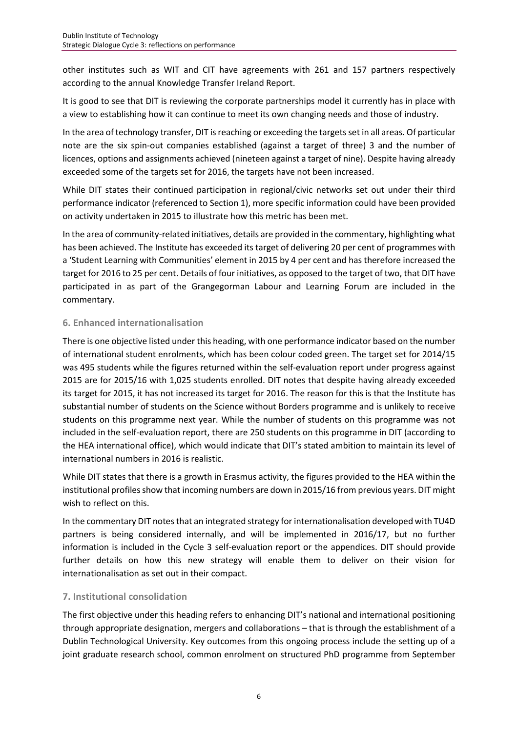other institutes such as WIT and CIT have agreements with 261 and 157 partners respectively according to the annual [Knowledge Transfer Ireland Report.](http://www.knowledgetransferireland.com/About_KTI/Reports-Publications/KTI-Annual-Review-and-Annual-Knowledge-Transfer-Survey-2015.pdf)

It is good to see that DIT is reviewing the corporate partnerships model it currently has in place with a view to establishing how it can continue to meet its own changing needs and those of industry.

In the area of technology transfer, DIT is reaching or exceeding the targets set in all areas. Of particular note are the six spin-out companies established (against a target of three) 3 and the number of licences, options and assignments achieved (nineteen against a target of nine). Despite having already exceeded some of the targets set for 2016, the targets have not been increased.

While DIT states their continued participation in regional/civic networks set out under their third performance indicator (referenced to Section 1), more specific information could have been provided on activity undertaken in 2015 to illustrate how this metric has been met.

In the area of community-related initiatives, details are provided in the commentary, highlighting what has been achieved. The Institute has exceeded its target of delivering 20 per cent of programmes with a 'Student Learning with Communities' element in 2015 by 4 per cent and has therefore increased the target for 2016 to 25 per cent. Details of four initiatives, as opposed to the target of two, that DIT have participated in as part of the Grangegorman Labour and Learning Forum are included in the commentary.

# **6. Enhanced internationalisation**

There is one objective listed under this heading, with one performance indicator based on the number of international student enrolments, which has been colour coded green. The target set for 2014/15 was 495 students while the figures returned within the self-evaluation report under progress against 2015 are for 2015/16 with 1,025 students enrolled. DIT notes that despite having already exceeded its target for 2015, it has not increased its target for 2016. The reason for this is that the Institute has substantial number of students on the Science without Borders programme and is unlikely to receive students on this programme next year. While the number of students on this programme was not included in the self-evaluation report, there are 250 students on this programme in DIT (according to the HEA international office), which would indicate that DIT's stated ambition to maintain its level of international numbers in 2016 is realistic.

While DIT states that there is a growth in Erasmus activity, the figures provided to the HEA within the institutional profiles show that incoming numbers are down in 2015/16 from previous years. DIT might wish to reflect on this.

In the commentary DIT notes that an integrated strategy for internationalisation developed with TU4D partners is being considered internally, and will be implemented in 2016/17, but no further information is included in the Cycle 3 self-evaluation report or the appendices. DIT should provide further details on how this new strategy will enable them to deliver on their vision for internationalisation as set out in their compact.

#### **7. Institutional consolidation**

The first objective under this heading refers to enhancing DIT's national and international positioning through appropriate designation, mergers and collaborations – that is through the establishment of a Dublin Technological University. Key outcomes from this ongoing process include the setting up of a joint graduate research school, common enrolment on structured PhD programme from September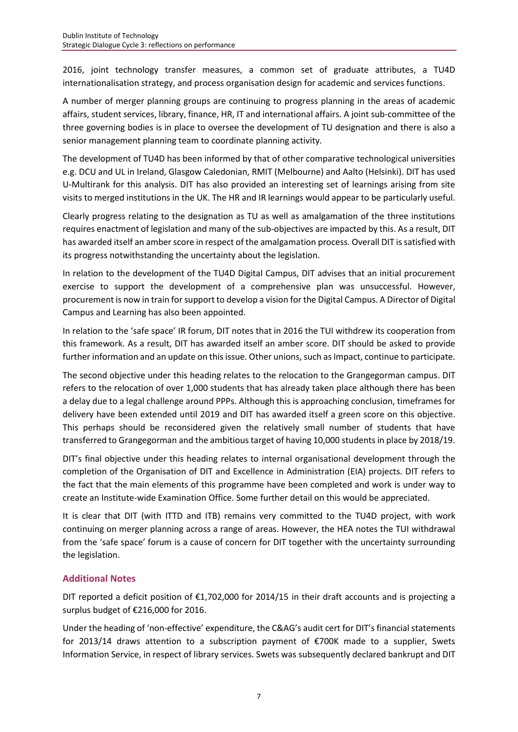2016, joint technology transfer measures, a common set of graduate attributes, a TU4D internationalisation strategy, and process organisation design for academic and services functions.

A number of merger planning groups are continuing to progress planning in the areas of academic affairs, student services, library, finance, HR, IT and international affairs. A joint sub-committee of the three governing bodies is in place to oversee the development of TU designation and there is also a senior management planning team to coordinate planning activity.

The development of TU4D has been informed by that of other comparative technological universities e.g. DCU and UL in Ireland, Glasgow Caledonian, RMIT (Melbourne) and Aalto (Helsinki). DIT has used U-Multirank for this analysis. DIT has also provided an interesting set of learnings arising from site visits to merged institutions in the UK. The HR and IR learnings would appear to be particularly useful.

Clearly progress relating to the designation as TU as well as amalgamation of the three institutions requires enactment of legislation and many of the sub-objectives are impacted by this. As a result, DIT has awarded itself an amber score in respect of the amalgamation process. Overall DIT is satisfied with its progress notwithstanding the uncertainty about the legislation.

In relation to the development of the TU4D Digital Campus, DIT advises that an initial procurement exercise to support the development of a comprehensive plan was unsuccessful. However, procurement is now in train for support to develop a vision for the Digital Campus. A Director of Digital Campus and Learning has also been appointed.

In relation to the 'safe space' IR forum, DIT notes that in 2016 the TUI withdrew its cooperation from this framework. As a result, DIT has awarded itself an amber score. DIT should be asked to provide further information and an update on this issue. Other unions, such as Impact, continue to participate.

The second objective under this heading relates to the relocation to the Grangegorman campus. DIT refers to the relocation of over 1,000 students that has already taken place although there has been a delay due to a legal challenge around PPPs. Although this is approaching conclusion, timeframes for delivery have been extended until 2019 and DIT has awarded itself a green score on this objective. This perhaps should be reconsidered given the relatively small number of students that have transferred to Grangegorman and the ambitious target of having 10,000 students in place by 2018/19.

DIT's final objective under this heading relates to internal organisational development through the completion of the Organisation of DIT and Excellence in Administration (EIA) projects. DIT refers to the fact that the main elements of this programme have been completed and work is under way to create an Institute-wide Examination Office. Some further detail on this would be appreciated.

It is clear that DIT (with ITTD and ITB) remains very committed to the TU4D project, with work continuing on merger planning across a range of areas. However, the HEA notes the TUI withdrawal from the 'safe space' forum is a cause of concern for DIT together with the uncertainty surrounding the legislation.

# **Additional Notes**

DIT reported a deficit position of €1,702,000 for 2014/15 in their draft accounts and is projecting a surplus budget of €216,000 for 2016.

Under the heading of 'non-effective' expenditure, the C&AG's audit cert for DIT's financial statements for 2013/14 draws attention to a subscription payment of €700K made to a supplier, Swets Information Service, in respect of library services. Swets was subsequently declared bankrupt and DIT